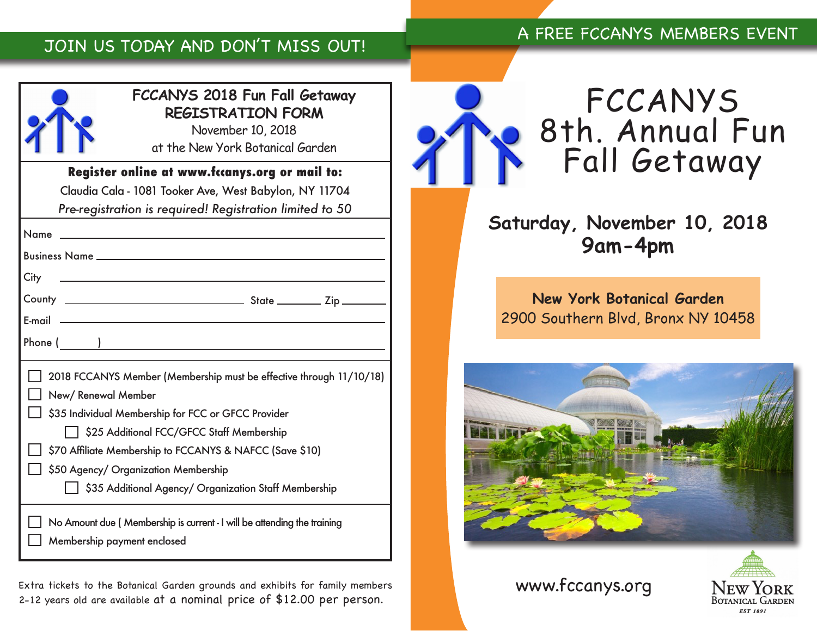# JOIN US TODAY AND DON'T MISS OUT!

| FCCANYS 2018 Fun Fall Getaway<br><b>REGISTRATION FORM</b>                                              |
|--------------------------------------------------------------------------------------------------------|
| November 10, 2018<br>at the New York Botanical Garden                                                  |
| Register online at www.facanys.org or mail to:                                                         |
| Claudia Cala - 1081 Tooker Ave, West Babylon, NY 11704                                                 |
| Pre-registration is required! Registration limited to 50                                               |
|                                                                                                        |
|                                                                                                        |
| City                                                                                                   |
|                                                                                                        |
| $E$ -mail $-$                                                                                          |
| Phone (                                                                                                |
| 2018 FCCANYS Member (Membership must be effective through 11/10/18)<br>New/Renewal Member              |
| \$35 Individual Membership for FCC or GFCC Provider                                                    |
| \$25 Additional FCC/GFCC Staff Membership<br>$\Box$                                                    |
| \$70 Affiliate Membership to FCCANYS & NAFCC (Save \$10)                                               |
| \$50 Agency/ Organization Membership                                                                   |
| \$35 Additional Agency/ Organization Staff Membership                                                  |
| No Amount due (Membership is current - I will be attending the training<br>Membership payment enclosed |

Extra tickets to the Botanical Garden grounds and exhibits for family members Extra tickets to the Botanical Garden grounds and exhibits for family members **www.fccanys.org**<br>2–12 years old are available at a nominal price of \$12.00 per person.

## A FREE FCCANYS MEMBERS EVENT



# **Saturday, November 10, 2018 9am-4pm**

**New York Botanical Garden** 2900 Southern Blvd, Bronx NY 10458